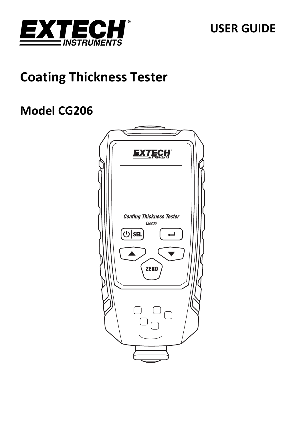

# **USER GUIDE**

# **Coating Thickness Tester**

# **Model CG206**

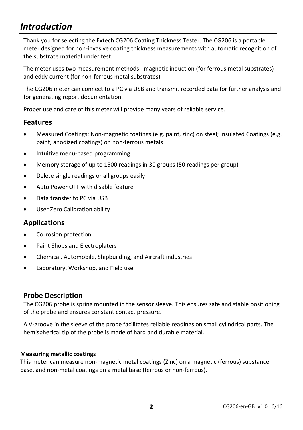# *Introduction*

Thank you for selecting the Extech CG206 Coating Thickness Tester. The CG206 is a portable meter designed for non-invasive coating thickness measurements with automatic recognition of the substrate material under test.

The meter uses two measurement methods: magnetic induction (for ferrous metal substrates) and eddy current (for non‐ferrous metal substrates).

The CG206 meter can connect to a PC via USB and transmit recorded data for further analysis and for generating report documentation.

Proper use and care of this meter will provide many years of reliable service.

### **Features**

- Measured Coatings: Non‐magnetic coatings (e.g. paint, zinc) on steel; Insulated Coatings (e.g. paint, anodized coatings) on non‐ferrous metals
- Intuitive menu-based programming
- Memory storage of up to 1500 readings in 30 groups (50 readings per group)
- Delete single readings or all groups easily
- Auto Power OFF with disable feature
- Data transfer to PC via USB
- User Zero Calibration ability

### **Applications**

- Corrosion protection
- Paint Shops and Electroplaters
- Chemical, Automobile, Shipbuilding, and Aircraft industries
- Laboratory, Workshop, and Field use

### **Probe Description**

The CG206 probe is spring mounted in the sensor sleeve. This ensures safe and stable positioning of the probe and ensures constant contact pressure.

A V‐groove in the sleeve of the probe facilitates reliable readings on small cylindrical parts. The hemispherical tip of the probe is made of hard and durable material.

#### **Measuring metallic coatings**

This meter can measure non‐magnetic metal coatings (Zinc) on a magnetic (ferrous) substance base, and non‐metal coatings on a metal base (ferrous or non‐ferrous).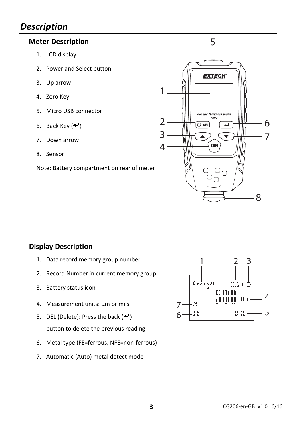# *Description*

## **Meter Description**

- 1. LCD display
- 2. Power and Select button
- 3. Up arrow
- 4. Zero Key
- 5. Micro USB connector
- 6. Back Key  $(4)$
- 7. Down arrow
- 8. Sensor

Note: Battery compartment on rear of meter



# **Display Description**

- 1. Data record memory group number
- 2. Record Number in current memory group
- 3. Battery status icon
- 4. Measurement units: µm or mils
- 5. DEL (Delete): Press the back  $(4)$ button to delete the previous reading
- 6. Metal type (FE=ferrous, NFE=non‐ferrous)
- 7. Automatic (Auto) metal detect mode

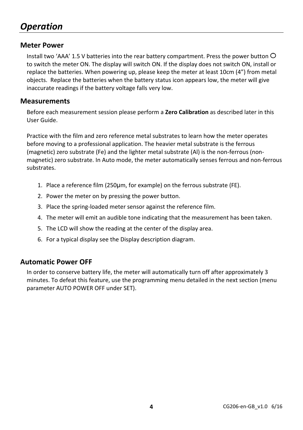# *Operation*

## **Meter Power**

Install two 'AAA' 1.5 V batteries into the rear battery compartment. Press the power button  $\circ$ to switch the meter ON. The display will switch ON. If the display does not switch ON, install or replace the batteries. When powering up, please keep the meter at least 10cm (4") from metal objects. Replace the batteries when the battery status icon appears low, the meter will give inaccurate readings if the battery voltage falls very low.

#### **Measurements**

Before each measurement session please perform a **Zero Calibration** as described later in this User Guide.

Practice with the film and zero reference metal substrates to learn how the meter operates before moving to a professional application. The heavier metal substrate is the ferrous (magnetic) zero substrate (Fe) and the lighter metal substrate (Al) is the non‐ferrous (non‐ magnetic) zero substrate. In Auto mode, the meter automatically senses ferrous and non‐ferrous substrates.

- 1. Place a reference film (250µm, for example) on the ferrous substrate (FE).
- 2. Power the meter on by pressing the power button.
- 3. Place the spring‐loaded meter sensor against the reference film.
- 4. The meter will emit an audible tone indicating that the measurement has been taken.
- 5. The LCD will show the reading at the center of the display area.
- 6. For a typical display see the Display description diagram.

# **Automatic Power OFF**

In order to conserve battery life, the meter will automatically turn off after approximately 3 minutes. To defeat this feature, use the programming menu detailed in the next section (menu parameter AUTO POWER OFF under SET).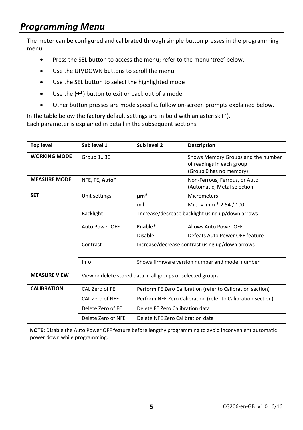# *Programming Menu*

The meter can be configured and calibrated through simple button presses in the programming menu.

- Press the SEL button to access the menu; refer to the menu 'tree' below.
- Use the UP/DOWN buttons to scroll the menu
- Use the SEL button to select the highlighted mode
- $\bullet$  Use the  $($  $\leftarrow$  $\cdot$ ) button to exit or back out of a mode
- Other button presses are mode specific, follow on-screen prompts explained below.

In the table below the factory default settings are in bold with an asterisk (\*). Each parameter is explained in detail in the subsequent sections.

| <b>Top level</b>    | Sub level 1                                                 | Sub level 2                                                 | <b>Description</b>                                                                         |  |
|---------------------|-------------------------------------------------------------|-------------------------------------------------------------|--------------------------------------------------------------------------------------------|--|
| <b>WORKING MODE</b> | Group 130                                                   |                                                             | Shows Memory Groups and the number<br>of readings in each group<br>(Group 0 has no memory) |  |
| <b>MEASURE MODE</b> | NFE. FE. Auto*                                              |                                                             | Non-Ferrous, Ferrous, or Auto<br>(Automatic) Metal selection                               |  |
| <b>SET</b>          | Unit settings                                               | $\mu$ m*                                                    | <b>Micrometers</b>                                                                         |  |
|                     |                                                             | mil                                                         | Mils = mm $*$ 2.54 / 100                                                                   |  |
|                     | <b>Backlight</b>                                            | Increase/decrease backlight using up/down arrows            |                                                                                            |  |
|                     | Auto Power OFF                                              | Enable*                                                     | Allows Auto Power OFF                                                                      |  |
|                     |                                                             | Disable                                                     | Defeats Auto Power OFF feature                                                             |  |
|                     | Contrast                                                    | Increase/decrease contrast using up/down arrows             |                                                                                            |  |
|                     | Info                                                        |                                                             | Shows firmware version number and model number                                             |  |
| <b>MEASURE VIEW</b> | View or delete stored data in all groups or selected groups |                                                             |                                                                                            |  |
| <b>CALIBRATION</b>  | CAL Zero of FE                                              | Perform FE Zero Calibration (refer to Calibration section)  |                                                                                            |  |
|                     | CAL Zero of NFE                                             | Perform NFE Zero Calibration (refer to Calibration section) |                                                                                            |  |
|                     | Delete Zero of FE                                           | Delete FE Zero Calibration data                             |                                                                                            |  |
|                     | Delete Zero of NFE                                          | Delete NFE Zero Calibration data                            |                                                                                            |  |

**NOTE:** Disable the Auto Power OFF feature before lengthy programming to avoid inconvenient automatic power down while programming.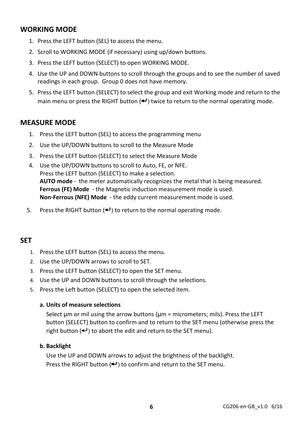# **WORKING MODE**

- 1. Press the LEFT button (SEL) to access the menu.
- 2. Scroll to WORKING MODE (if necessary) using up/down buttons.
- 3. Press the LEFT button (SELECT) to open WORKING MODE.
- 4. Use the UP and DOWN buttons to scroll through the groups and to see the number of saved readings in each group. Group 0 does not have memory.
- 5. Press the LEFT button (SELECT) to select the group and exit Working mode and return to the main menu or press the RIGHT button  $(4)$  twice to return to the normal operating mode.

## **MEASURE MODE**

- 1. Press the LEFT button (SEL) to access the programming menu
- 2. Use the UP/DOWN buttons to scroll to the Measure Mode
- 3. Press the LEFT button (SELECT) to select the Measure Mode
- 4. Use the UP/DOWN buttons to scroll to Auto, FE, or NFE. Press the LEFT button (SELECT) to make a selection. **AUTO mode** ‐ the meter automatically recognizes the metal that is being measured. **Ferrous (FE) Mode** ‐ the Magnetic induction measurement mode is used. **Non‐Ferrous (NFE) Mode** ‐ the eddy current measurement mode is used.
- 5. Press the RIGHT button  $(4)$  to return to the normal operating mode.

### **SET**

- 1. Press the LEFT button (SEL) to access the menu.
- 2. Use the UP/DOWN arrows to scroll to SET.
- 3. Press the LEFT button (SELECT) to open the SET menu.
- 4. Use the UP and DOWN buttons to scroll through the selections.
- 5. Press the Left button (SELECT) to open the selected item.

#### **a. Units of measure selections**

Select  $\mu$ m or mil using the arrow buttons  $(\mu m =$  micrometers; mils). Press the LEFT button (SELECT) button to confirm and to return to the SET menu (otherwise press the right button  $(4)$  to abort the edit and return to the SET menu).

#### **b. Backlight**

Use the UP and DOWN arrows to adjust the brightness of the backlight. Press the RIGHT button  $($ <sup>+</sup>) to confirm and return to the SET menu.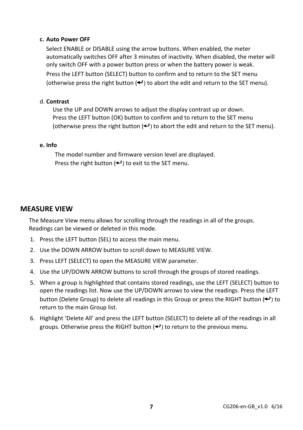#### **c. Auto Power OFF**

Select ENABLE or DISABLE using the arrow buttons. When enabled, the meter automatically switches OFF after 3 minutes of inactivity. When disabled, the meter will only switch OFF with a power button press or when the battery power is weak.

Press the LEFT button (SELECT) button to confirm and to return to the SET menu (otherwise press the right button  $($ <sup>+</sup>) to abort the edit and return to the SET menu).

#### d. **Contrast**

Use the UP and DOWN arrows to adjust the display contrast up or down. Press the LEFT button (OK) button to confirm and to return to the SET menu (otherwise press the right button  $($  $\blacktriangleleft$ ) to abort the edit and return to the SET menu).

#### **e. Info**

The model number and firmware version level are displayed. Press the right button  $($ <sup>+</sup> $)$  to exit to the SET menu.

#### **MEASURE VIEW**

The Measure View menu allows for scrolling through the readings in all of the groups. Readings can be viewed or deleted in this mode.

- 1. Press the LEFT button (SEL) to access the main menu.
- 2. Use the DOWN ARROW button to scroll down to MEASURE VIEW.
- 3. Press LEFT (SELECT) to open the MEASURE VIEW parameter.
- 4. Use the UP/DOWN ARROW buttons to scroll through the groups of stored readings.
- 5. When a group is highlighted that contains stored readings, use the LEFT (SELECT) button to open the readings list. Now use the UP/DOWN arrows to view the readings. Press the LEFT button (Delete Group) to delete all readings in this Group or press the RIGHT button  $($ <sup>+</sup>) to return to the main Group list.
- 6. Highlight 'Delete All' and press the LEFT button (SELECT) to delete all of the readings in all groups. Otherwise press the RIGHT button  $($ <sup>+</sup>) to return to the previous menu.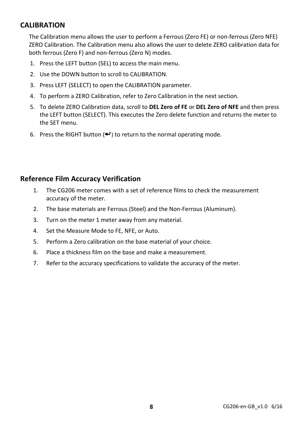# **CALIBRATION**

The Calibration menu allows the user to perform a Ferrous (Zero FE) or non‐ferrous (Zero NFE) ZERO Calibration. The Calibration menu also allows the user to delete ZERO calibration data for both ferrous (Zero F) and non‐ferrous (Zero N) modes.

- 1. Press the LEFT button (SEL) to access the main menu.
- 2. Use the DOWN button to scroll to CALIBRATION.
- 3. Press LEFT (SELECT) to open the CALIBRATION parameter.
- 4. To perform a ZERO Calibration, refer to Zero Calibration in the next section.
- 5. To delete ZERO Calibration data, scroll to **DEL Zero of FE** or **DEL Zero of NFE** and then press the LEFT button (SELECT). This executes the Zero delete function and returns the meter to the SET menu.
- 6. Press the RIGHT button  $($ <sup>+</sup>) to return to the normal operating mode.

## **Reference Film Accuracy Verification**

- 1. The CG206 meter comes with a set of reference films to check the measurement accuracy of the meter.
- 2. The base materials are Ferrous (Steel) and the Non‐Ferrous (Aluminum).
- 3. Turn on the meter 1 meter away from any material.
- 4. Set the Measure Mode to FE, NFE, or Auto.
- 5. Perform a Zero calibration on the base material of your choice.
- 6. Place a thickness film on the base and make a measurement.
- 7. Refer to the accuracy specifications to validate the accuracy of the meter.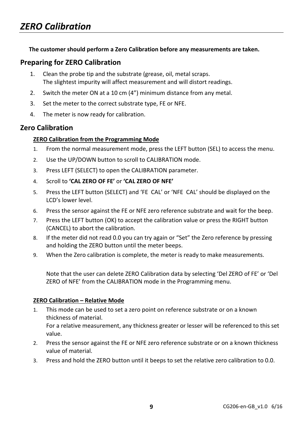#### **The customer should perform a Zero Calibration before any measurements are taken.**

### **Preparing for ZERO Calibration**

- 1. Clean the probe tip and the substrate (grease, oil, metal scraps. The slightest impurity will affect measurement and will distort readings.
- 2. Switch the meter ON at a 10 cm (4") minimum distance from any metal.
- 3. Set the meter to the correct substrate type, FE or NFE.
- 4. The meter is now ready for calibration.

### **Zero Calibration**

#### **ZERO Calibration from the Programming Mode**

- 1. From the normal measurement mode, press the LEFT button (SEL) to access the menu.
- 2. Use the UP/DOWN button to scroll to CALIBRATION mode.
- 3. Press LEFT (SELECT) to open the CALIBRATION parameter.
- 4. Scroll to **'CAL ZERO OF FE'** or **'CAL ZERO OF NFE'**
- 5. Press the LEFT button (SELECT) and 'FE CAL' or 'NFE CAL' should be displayed on the LCD's lower level.
- 6. Press the sensor against the FE or NFE zero reference substrate and wait for the beep.
- 7. Press the LEFT button (OK) to accept the calibration value or press the RIGHT button (CANCEL) to abort the calibration.
- 8. If the meter did not read 0.0 you can try again or "Set" the Zero reference by pressing and holding the ZERO button until the meter beeps.
- 9. When the Zero calibration is complete, the meter is ready to make measurements.

Note that the user can delete ZERO Calibration data by selecting 'Del ZERO of FE' or 'Del ZERO of NFE' from the CALIBRATION mode in the Programming menu.

#### **ZERO Calibration – Relative Mode**

- 1. This mode can be used to set a zero point on reference substrate or on a known thickness of material. For a relative measurement, any thickness greater or lesser will be referenced to this set value.
- 2. Press the sensor against the FE or NFE zero reference substrate or on a known thickness value of material.
- 3. Press and hold the ZERO button until it beeps to set the relative zero calibration to 0.0.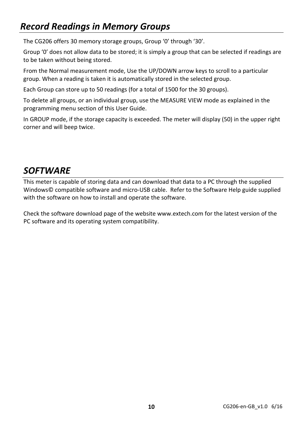# *Record Readings in Memory Groups*

The CG206 offers 30 memory storage groups, Group '0' through '30'.

Group '0' does not allow data to be stored; it is simply a group that can be selected if readings are to be taken without being stored.

From the Normal measurement mode, Use the UP/DOWN arrow keys to scroll to a particular group. When a reading is taken it is automatically stored in the selected group.

Each Group can store up to 50 readings (for a total of 1500 for the 30 groups).

To delete all groups, or an individual group, use the MEASURE VIEW mode as explained in the programming menu section of this User Guide.

In GROUP mode, if the storage capacity is exceeded. The meter will display (50) in the upper right corner and will beep twice.

# *SOFTWARE*

This meter is capable of storing data and can download that data to a PC through the supplied Windows© compatible software and micro‐USB cable. Refer to the Software Help guide supplied with the software on how to install and operate the software.

Check the software download page of the website www.extech.com for the latest version of the PC software and its operating system compatibility.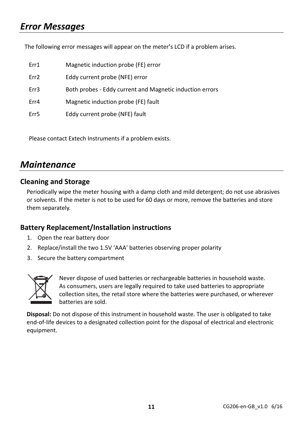# *Error Messages*

The following error messages will appear on the meter's LCD if a problem arises.

| Err1             | Magnetic induction probe (FE) error                      |
|------------------|----------------------------------------------------------|
| Err <sub>2</sub> | Eddy current probe (NFE) error                           |
| Err3             | Both probes - Eddy current and Magnetic induction errors |
| Err4             | Magnetic induction probe (FE) fault                      |
| Err5             | Eddy current probe (NFE) fault                           |

Please contact Extech Instruments if a problem exists.

# *Maintenance*

## **Cleaning and Storage**

Periodically wipe the meter housing with a damp cloth and mild detergent; do not use abrasives or solvents. If the meter is not to be used for 60 days or more, remove the batteries and store them separately.

# **Battery Replacement/Installation instructions**

- 1. Open the rear battery door
- 2. Replace/install the two 1.5V 'AAA' batteries observing proper polarity
- 3. Secure the battery compartment



Never dispose of used batteries or rechargeable batteries in household waste. As consumers, users are legally required to take used batteries to appropriate collection sites, the retail store where the batteries were purchased, or wherever batteries are sold.

**Disposal:** Do not dispose of this instrument in household waste. The user is obligated to take end‐of‐life devices to a designated collection point for the disposal of electrical and electronic equipment.